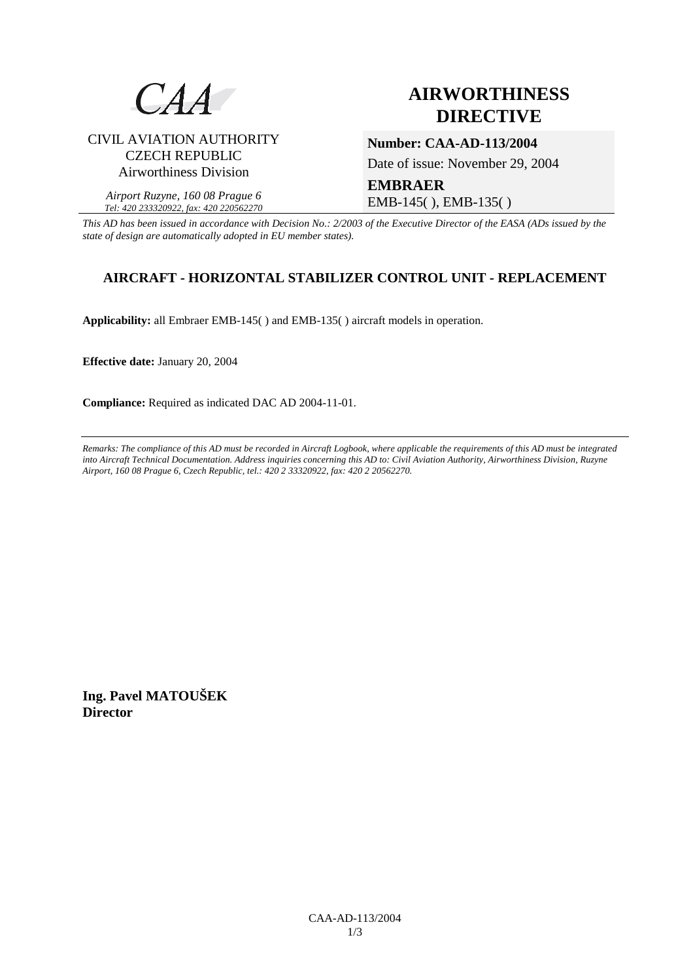

# CIVIL AVIATION AUTHORITY CZECH REPUBLIC Airworthiness Division

*Airport Ruzyne, 160 08 Prague 6 Tel: 420 233320922, fax: 420 220562270*

# **AIRWORTHINESS DIRECTIVE**

**Number: CAA-AD-113/2004** 

Date of issue: November 29, 2004

**EMBRAER**  EMB-145( ), EMB-135( )

*This AD has been issued in accordance with Decision No.: 2/2003 of the Executive Director of the EASA (ADs issued by the state of design are automatically adopted in EU member states).*

# **AIRCRAFT - HORIZONTAL STABILIZER CONTROL UNIT - REPLACEMENT**

**Applicability:** all Embraer EMB-145( ) and EMB-135( ) aircraft models in operation.

**Effective date:** January 20, 2004

**Compliance:** Required as indicated DAC AD 2004-11-01.

*Remarks: The compliance of this AD must be recorded in Aircraft Logbook, where applicable the requirements of this AD must be integrated into Aircraft Technical Documentation. Address inquiries concerning this AD to: Civil Aviation Authority, Airworthiness Division, Ruzyne Airport, 160 08 Prague 6, Czech Republic, tel.: 420 2 33320922, fax: 420 2 20562270.* 

**Ing. Pavel MATOUŠEK Director**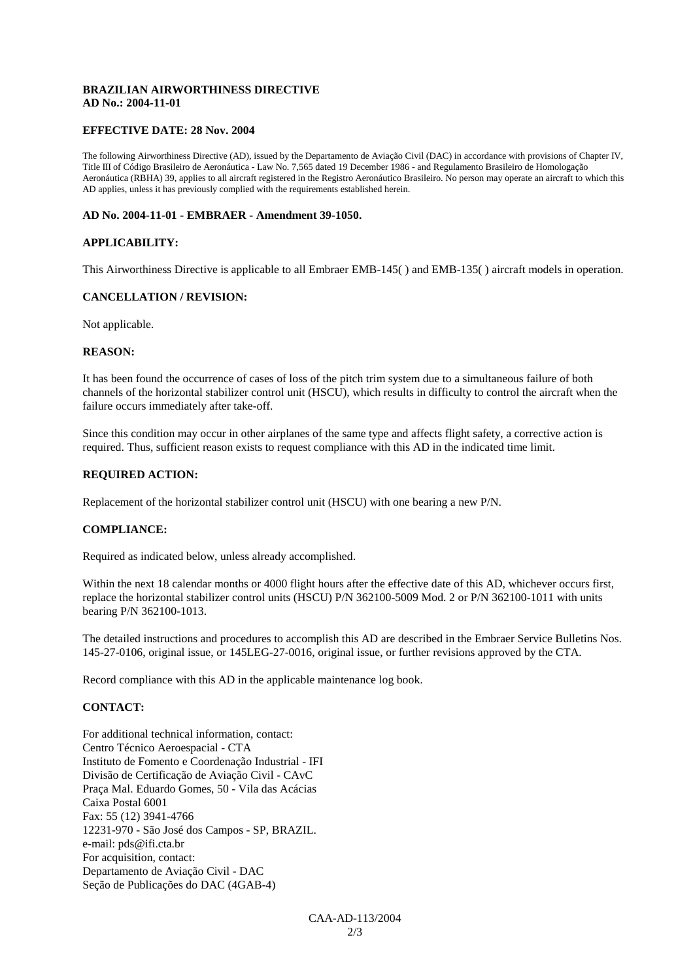## **BRAZILIAN AIRWORTHINESS DIRECTIVE AD No.: 2004-11-01**

#### **EFFECTIVE DATE: 28 Nov. 2004**

The following Airworthiness Directive (AD), issued by the Departamento de Aviação Civil (DAC) in accordance with provisions of Chapter IV, Title III of Código Brasileiro de Aeronáutica - Law No. 7,565 dated 19 December 1986 - and Regulamento Brasileiro de Homologação Aeronáutica (RBHA) 39, applies to all aircraft registered in the Registro Aeronáutico Brasileiro. No person may operate an aircraft to which this AD applies, unless it has previously complied with the requirements established herein.

#### **AD No. 2004-11-01 - EMBRAER - Amendment 39-1050.**

#### **APPLICABILITY:**

This Airworthiness Directive is applicable to all Embraer EMB-145( ) and EMB-135( ) aircraft models in operation.

#### **CANCELLATION / REVISION:**

Not applicable.

### **REASON:**

It has been found the occurrence of cases of loss of the pitch trim system due to a simultaneous failure of both channels of the horizontal stabilizer control unit (HSCU), which results in difficulty to control the aircraft when the failure occurs immediately after take-off.

Since this condition may occur in other airplanes of the same type and affects flight safety, a corrective action is required. Thus, sufficient reason exists to request compliance with this AD in the indicated time limit.

#### **REQUIRED ACTION:**

Replacement of the horizontal stabilizer control unit (HSCU) with one bearing a new P/N.

#### **COMPLIANCE:**

Required as indicated below, unless already accomplished.

Within the next 18 calendar months or 4000 flight hours after the effective date of this AD, whichever occurs first, replace the horizontal stabilizer control units (HSCU) P/N 362100-5009 Mod. 2 or P/N 362100-1011 with units bearing P/N 362100-1013.

The detailed instructions and procedures to accomplish this AD are described in the Embraer Service Bulletins Nos. 145-27-0106, original issue, or 145LEG-27-0016, original issue, or further revisions approved by the CTA.

Record compliance with this AD in the applicable maintenance log book.

## **CONTACT:**

For additional technical information, contact: Centro Técnico Aeroespacial - CTA Instituto de Fomento e Coordenação Industrial - IFI Divisão de Certificação de Aviação Civil - CAvC Praça Mal. Eduardo Gomes, 50 - Vila das Acácias Caixa Postal 6001 Fax: 55 (12) 3941-4766 12231-970 - São José dos Campos - SP, BRAZIL. e-mail: pds@ifi.cta.br For acquisition, contact: Departamento de Aviação Civil - DAC Seção de Publicações do DAC (4GAB-4)